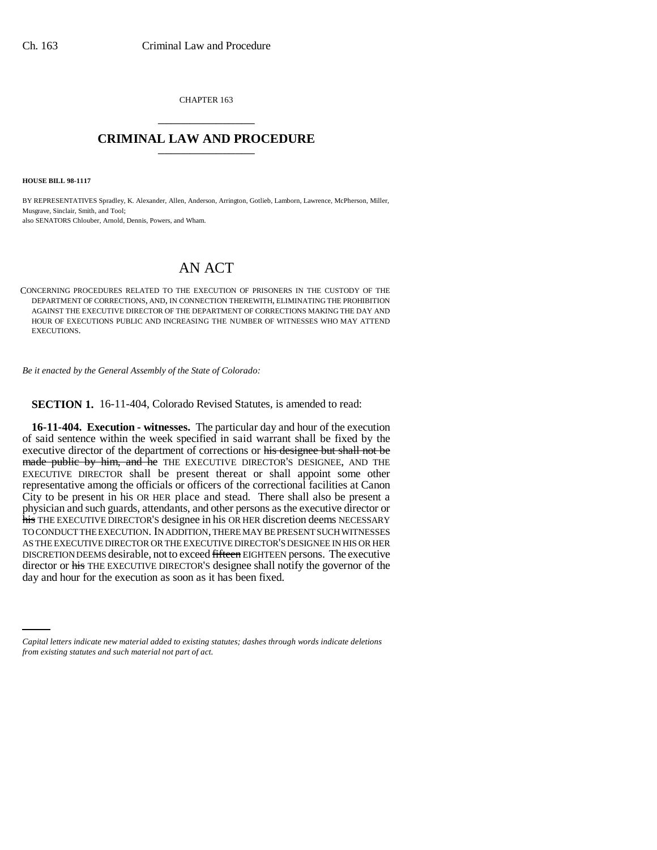CHAPTER 163 \_\_\_\_\_\_\_\_\_\_\_\_\_\_\_

## **CRIMINAL LAW AND PROCEDURE** \_\_\_\_\_\_\_\_\_\_\_\_\_\_\_

**HOUSE BILL 98-1117**

BY REPRESENTATIVES Spradley, K. Alexander, Allen, Anderson, Arrington, Gotlieb, Lamborn, Lawrence, McPherson, Miller, Musgrave, Sinclair, Smith, and Tool; also SENATORS Chlouber, Arnold, Dennis, Powers, and Wham.

## AN ACT

CONCERNING PROCEDURES RELATED TO THE EXECUTION OF PRISONERS IN THE CUSTODY OF THE DEPARTMENT OF CORRECTIONS, AND, IN CONNECTION THEREWITH, ELIMINATING THE PROHIBITION AGAINST THE EXECUTIVE DIRECTOR OF THE DEPARTMENT OF CORRECTIONS MAKING THE DAY AND HOUR OF EXECUTIONS PUBLIC AND INCREASING THE NUMBER OF WITNESSES WHO MAY ATTEND EXECUTIONS.

*Be it enacted by the General Assembly of the State of Colorado:*

**SECTION 1.** 16-11-404, Colorado Revised Statutes, is amended to read:

day and hour for the execution as soon as it has been fixed. **16-11-404. Execution - witnesses.** The particular day and hour of the execution of said sentence within the week specified in said warrant shall be fixed by the executive director of the department of corrections or his designee but shall not be made public by him, and he THE EXECUTIVE DIRECTOR'S DESIGNEE, AND THE EXECUTIVE DIRECTOR shall be present thereat or shall appoint some other representative among the officials or officers of the correctional facilities at Canon City to be present in his OR HER place and stead. There shall also be present a physician and such guards, attendants, and other persons as the executive director or his THE EXECUTIVE DIRECTOR'S designee in his OR HER discretion deems NECESSARY TO CONDUCT THE EXECUTION. IN ADDITION, THERE MAY BE PRESENT SUCH WITNESSES AS THE EXECUTIVE DIRECTOR OR THE EXECUTIVE DIRECTOR'S DESIGNEE IN HIS OR HER DISCRETION DEEMS desirable, not to exceed fifteen EIGHTEEN persons. The executive director or his THE EXECUTIVE DIRECTOR'S designee shall notify the governor of the

*Capital letters indicate new material added to existing statutes; dashes through words indicate deletions from existing statutes and such material not part of act.*